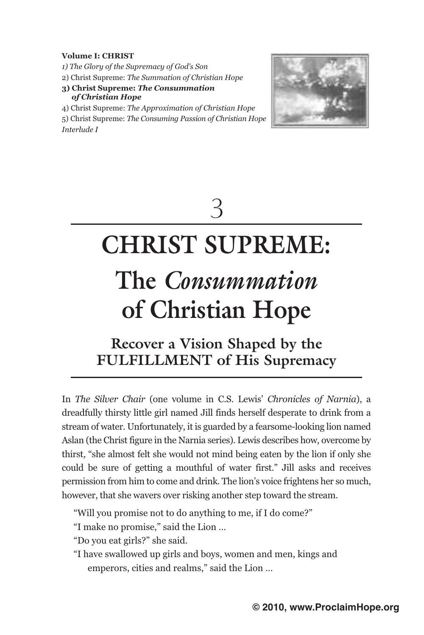#### **Volume I: CHRIST**

- *1) The Glory of the Supremacy of God's Son*
- 2) Christ Supreme: *The Summation of Christian Hope*
- **3) Christ Supreme:** *The Consummation of Christian Hope*

4) Christ Supreme: *The Approximation of Christian Hope* 5) Christ Supreme: *The Consuming Passion of Christian Hope Interlude I*





# **CHRIST SUPREME: The** *Consummation* **of Christian Hope**

# **Recover a Vision Shaped by the FULFILLMENT of His Supremacy**

In *The Silver Chair* (one volume in C.S. Lewis' *Chronicles of Narnia*), a dreadfully thirsty little girl named Jill finds herself desperate to drink from a stream of water. Unfortunately, it is guarded by a fearsome-looking lion named Aslan (the Christ figure in the Narnia series). Lewis describes how, overcome by thirst, "she almost felt she would not mind being eaten by the lion if only she could be sure of getting a mouthful of water first." Jill asks and receives permission from him to come and drink. The lion's voice frightens her so much, however, that she wavers over risking another step toward the stream.

"Will you promise not to do anything to me, if I do come?"

- "I make no promise," said the Lion …
- "Do you eat girls?" she said.
- "I have swallowed up girls and boys, women and men, kings and emperors, cities and realms," said the Lion …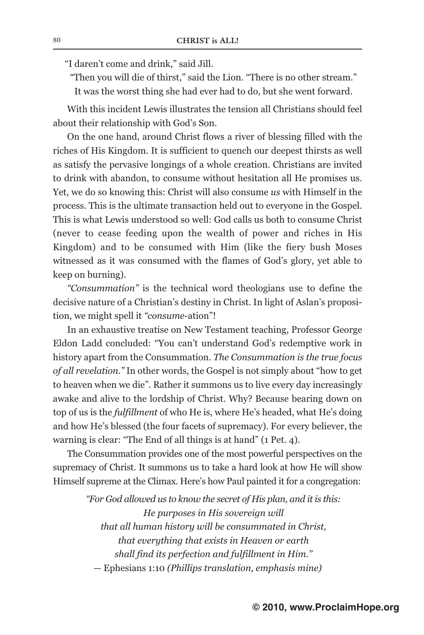"I daren't come and drink," said Jill.

"Then you will die of thirst," said the Lion. "There is no other stream." It was the worst thing she had ever had to do, but she went forward.

With this incident Lewis illustrates the tension all Christians should feel about their relationship with God's Son.

On the one hand, around Christ flows a river of blessing filled with the riches of His Kingdom. It is sufficient to quench our deepest thirsts as well as satisfy the pervasive longings of a whole creation. Christians are invited to drink with abandon, to consume without hesitation all He promises us. Yet, we do so knowing this: Christ will also consume *us* with Himself in the process. This is the ultimate transaction held out to everyone in the Gospel. This is what Lewis understood so well: God calls us both to consume Christ (never to cease feeding upon the wealth of power and riches in His Kingdom) and to be consumed with Him (like the fiery bush Moses witnessed as it was consumed with the flames of God's glory, yet able to keep on burning).

*"Consummation"* is the technical word theologians use to define the decisive nature of a Christian's destiny in Christ. In light of Aslan's proposition, we might spell it *"consume-*ation"!

In an exhaustive treatise on New Testament teaching, Professor George Eldon Ladd concluded: "You can't understand God's redemptive work in history apart from the Consummation. *The Consummation is the true focus of all revelation."* In other words, the Gospel is not simply about "how to get to heaven when we die". Rather it summons us to live every day increasingly awake and alive to the lordship of Christ. Why? Because bearing down on top of us is the *fulfillment* of who He is, where He's headed, what He's doing and how He's blessed (the four facets of supremacy). For every believer, the warning is clear: "The End of all things is at hand" (1 Pet. 4).

The Consummation provides one of the most powerful perspectives on the supremacy of Christ. It summons us to take a hard look at how He will show Himself supreme at the Climax. Here's how Paul painted it for a congregation:

> *"For God allowed us to know the secret of His plan, and it is this: He purposes in His sovereign will that all human history will be consummated in Christ, that everything that exists in Heaven or earth shall find its perfection and fulfillment in Him."* — Ephesians 1:10 *(Phillips translation, emphasis mine)*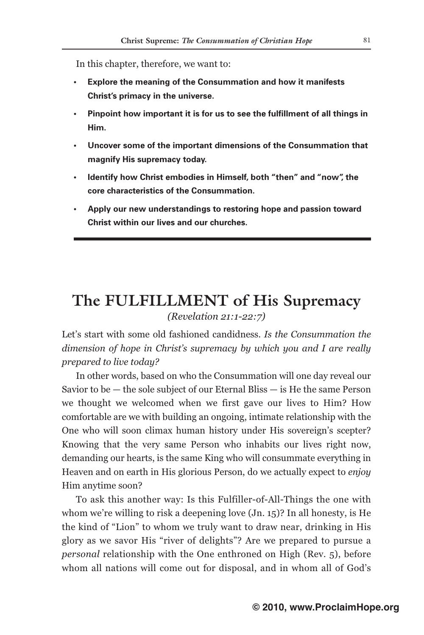In this chapter, therefore, we want to:

- **• Explore the meaning of the Consummation and how it manifests Christ's primacy in the universe.**
- **• Pinpoint how important it is for us to see the fulfillment of all things in Him.**
- **• Uncover some of the important dimensions of the Consummation that magnify His supremacy today.**
- **• Identify how Christ embodies in Himself, both "then" and "now", the core characteristics of the Consummation.**
- **• Apply our new understandings to restoring hope and passion toward Christ within our lives and our churches.**

## **The FULFILLMENT of His Supremacy** *(Revelation 21:1-22:7)*

Let's start with some old fashioned candidness. *Is the Consummation the*

*dimension of hope in Christ's supremacy by which you and I are really prepared to live today?*

In other words, based on who the Consummation will one day reveal our Savior to be  $-$  the sole subject of our Eternal Bliss  $-$  is He the same Person we thought we welcomed when we first gave our lives to Him? How comfortable are we with building an ongoing, intimate relationship with the One who will soon climax human history under His sovereign's scepter? Knowing that the very same Person who inhabits our lives right now, demanding our hearts, is the same King who will consummate everything in Heaven and on earth in His glorious Person, do we actually expect to *enjoy* Him anytime soon?

To ask this another way: Is this Fulfiller-of-All-Things the one with whom we're willing to risk a deepening love (Jn. 15)? In all honesty, is He the kind of "Lion" to whom we truly want to draw near, drinking in His glory as we savor His "river of delights"? Are we prepared to pursue a *personal* relationship with the One enthroned on High (Rev. 5), before whom all nations will come out for disposal, and in whom all of God's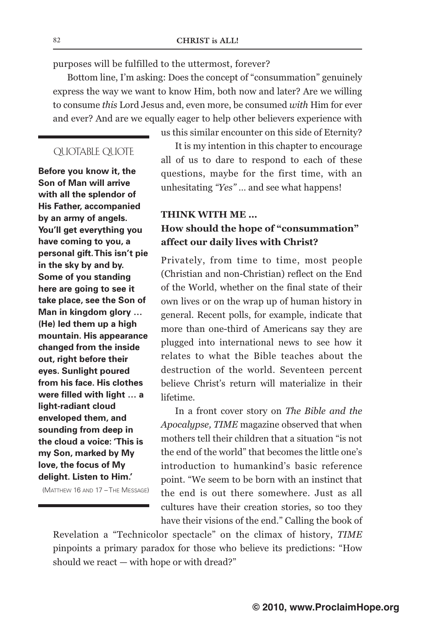purposes will be fulfilled to the uttermost, forever?

Bottom line, I'm asking: Does the concept of "consummation" genuinely express the way we want to know Him, both now and later? Are we willing to consume *this* Lord Jesus and, even more, be consumed *with* Him for ever and ever? And are we equally eager to help other believers experience with

## QUOTABLE QUOTE

**Before you know it, the Son of Man will arrive with all the splendor of His Father, accompanied by an army of angels. You'll get everything you have coming to you, a personal gift.This isn't pie in the sky by and by. Some of you standing here are going to see it take place, see the Son of Man in kingdom glory … (He) led them up a high mountain. His appearance changed from the inside out, right before their eyes. Sunlight poured from his face. His clothes were filled with light … a light-radiant cloud enveloped them, and sounding from deep in the cloud a voice: 'This is my Son, marked by My love, the focus of My delight. Listen to Him.'**

(MATTHEW 16 AND 17 – THE MESSAGE)

us this similar encounter on this side of Eternity?

It is my intention in this chapter to encourage all of us to dare to respond to each of these questions, maybe for the first time, with an unhesitating *"Yes"* … and see what happens!

## **THINK WITH ME … How should the hope of "consummation" affect our daily lives with Christ?**

Privately, from time to time, most people (Christian and non-Christian) reflect on the End of the World, whether on the final state of their own lives or on the wrap up of human history in general. Recent polls, for example, indicate that more than one-third of Americans say they are plugged into international news to see how it relates to what the Bible teaches about the destruction of the world. Seventeen percent believe Christ's return will materialize in their lifetime.

In a front cover story on *The Bible and the Apocalypse, TIME* magazine observed that when mothers tell their children that a situation "is not the end of the world" that becomes the little one's introduction to humankind's basic reference point. "We seem to be born with an instinct that the end is out there somewhere. Just as all cultures have their creation stories, so too they have their visions of the end." Calling the book of

Revelation a "Technicolor spectacle" on the climax of history, *TIME* pinpoints a primary paradox for those who believe its predictions: "How should we react — with hope or with dread?"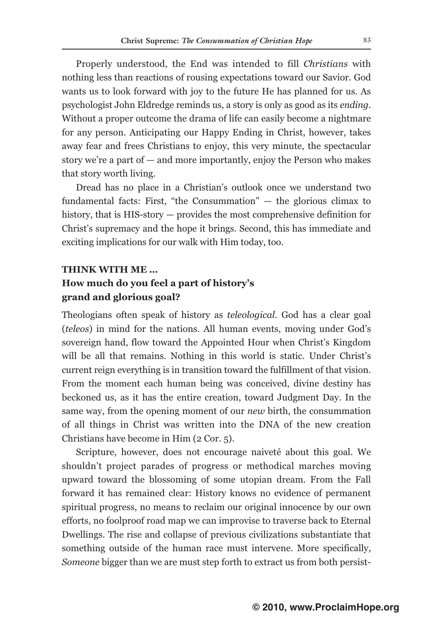Properly understood, the End was intended to fill *Christians* with nothing less than reactions of rousing expectations toward our Savior. God wants us to look forward with joy to the future He has planned for us. As psychologist John Eldredge reminds us, a story is only as good as its *ending*. Without a proper outcome the drama of life can easily become a nightmare for any person. Anticipating our Happy Ending in Christ, however, takes away fear and frees Christians to enjoy, this very minute, the spectacular story we're a part of  $-$  and more importantly, enjoy the Person who makes that story worth living.

Dread has no place in a Christian's outlook once we understand two fundamental facts: First, "the Consummation" — the glorious climax to history, that is HIS-story — provides the most comprehensive definition for Christ's supremacy and the hope it brings. Second, this has immediate and exciting implications for our walk with Him today, too.

## **THINK WITH ME … How much do you feel a part of history's grand and glorious goal?**

Theologians often speak of history as *teleological*. God has a clear goal (*teleos*) in mind for the nations. All human events, moving under God's sovereign hand, flow toward the Appointed Hour when Christ's Kingdom will be all that remains. Nothing in this world is static. Under Christ's current reign everything is in transition toward the fulfillment of that vision. From the moment each human being was conceived, divine destiny has beckoned us, as it has the entire creation, toward Judgment Day. In the same way, from the opening moment of our *new* birth, the consummation of all things in Christ was written into the DNA of the new creation Christians have become in Him (2 Cor. 5).

Scripture, however, does not encourage naiveté about this goal. We shouldn't project parades of progress or methodical marches moving upward toward the blossoming of some utopian dream. From the Fall forward it has remained clear: History knows no evidence of permanent spiritual progress, no means to reclaim our original innocence by our own efforts, no foolproof road map we can improvise to traverse back to Eternal Dwellings. The rise and collapse of previous civilizations substantiate that something outside of the human race must intervene. More specifically, *Someone* bigger than we are must step forth to extract us from both persist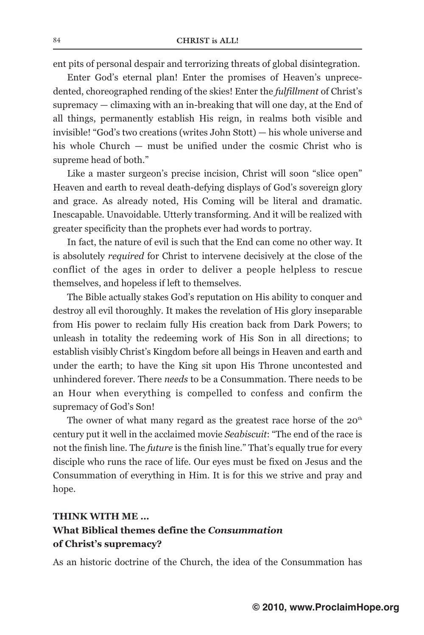ent pits of personal despair and terrorizing threats of global disintegration.

Enter God's eternal plan! Enter the promises of Heaven's unprecedented, choreographed rending of the skies! Enter the *fulfillment* of Christ's supremacy — climaxing with an in-breaking that will one day, at the End of all things, permanently establish His reign, in realms both visible and invisible! "God's two creations (writes John Stott) — his whole universe and his whole Church — must be unified under the cosmic Christ who is supreme head of both."

Like a master surgeon's precise incision, Christ will soon "slice open" Heaven and earth to reveal death-defying displays of God's sovereign glory and grace. As already noted, His Coming will be literal and dramatic. Inescapable. Unavoidable. Utterly transforming. And it will be realized with greater specificity than the prophets ever had words to portray.

In fact, the nature of evil is such that the End can come no other way. It is absolutely *required* for Christ to intervene decisively at the close of the conflict of the ages in order to deliver a people helpless to rescue themselves, and hopeless if left to themselves.

The Bible actually stakes God's reputation on His ability to conquer and destroy all evil thoroughly. It makes the revelation of His glory inseparable from His power to reclaim fully His creation back from Dark Powers; to unleash in totality the redeeming work of His Son in all directions; to establish visibly Christ's Kingdom before all beings in Heaven and earth and under the earth; to have the King sit upon His Throne uncontested and unhindered forever. There *needs* to be a Consummation. There needs to be an Hour when everything is compelled to confess and confirm the supremacy of God's Son!

The owner of what many regard as the greatest race horse of the  $20<sup>th</sup>$ century put it well in the acclaimed movie *Seabiscuit*: "The end of the race is not the finish line. The *future* is the finish line." That's equally true for every disciple who runs the race of life. Our eyes must be fixed on Jesus and the Consummation of everything in Him. It is for this we strive and pray and hope.

## **THINK WITH ME … What Biblical themes define the** *Consummation* **of Christ's supremacy?**

As an historic doctrine of the Church, the idea of the Consummation has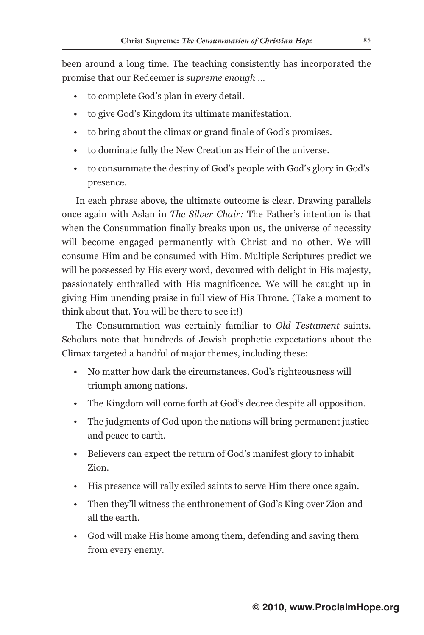been around a long time. The teaching consistently has incorporated the promise that our Redeemer is *supreme enough* …

- to complete God's plan in every detail.
- to give God's Kingdom its ultimate manifestation.
- to bring about the climax or grand finale of God's promises.
- to dominate fully the New Creation as Heir of the universe.
- to consummate the destiny of God's people with God's glory in God's presence.

In each phrase above, the ultimate outcome is clear. Drawing parallels once again with Aslan in *The Silver Chair:* The Father's intention is that when the Consummation finally breaks upon us, the universe of necessity will become engaged permanently with Christ and no other. We will consume Him and be consumed with Him. Multiple Scriptures predict we will be possessed by His every word, devoured with delight in His majesty, passionately enthralled with His magnificence. We will be caught up in giving Him unending praise in full view of His Throne. (Take a moment to think about that. You will be there to see it!)

The Consummation was certainly familiar to *Old Testament* saints. Scholars note that hundreds of Jewish prophetic expectations about the Climax targeted a handful of major themes, including these:

- No matter how dark the circumstances, God's righteousness will triumph among nations.
- The Kingdom will come forth at God's decree despite all opposition.
- The judgments of God upon the nations will bring permanent justice and peace to earth.
- Believers can expect the return of God's manifest glory to inhabit Zion.
- His presence will rally exiled saints to serve Him there once again.
- Then they'll witness the enthronement of God's King over Zion and all the earth.
- God will make His home among them, defending and saving them from every enemy.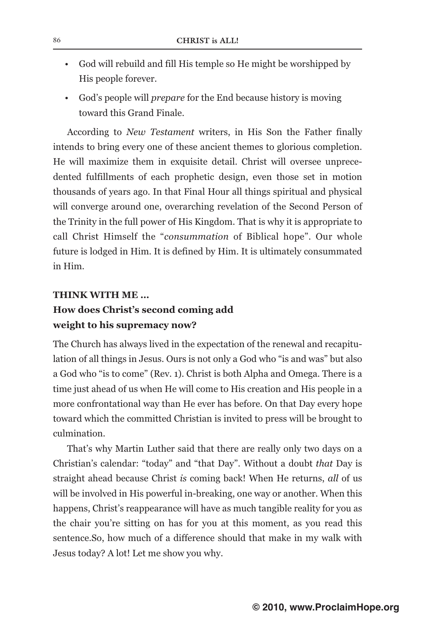- God will rebuild and fill His temple so He might be worshipped by His people forever.
- God's people will *prepare* for the End because history is moving toward this Grand Finale.

According to *New Testament* writers, in His Son the Father finally intends to bring every one of these ancient themes to glorious completion. He will maximize them in exquisite detail. Christ will oversee unprecedented fulfillments of each prophetic design, even those set in motion thousands of years ago. In that Final Hour all things spiritual and physical will converge around one, overarching revelation of the Second Person of the Trinity in the full power of His Kingdom. That is why it is appropriate to call Christ Himself the "*consummation* of Biblical hope". Our whole future is lodged in Him. It is defined by Him. It is ultimately consummated in Him.

## **THINK WITH ME …**

## **How does Christ's second coming add weight to his supremacy now?**

The Church has always lived in the expectation of the renewal and recapitulation of all things in Jesus. Ours is not only a God who "is and was" but also a God who "is to come" (Rev. 1). Christ is both Alpha and Omega. There is a time just ahead of us when He will come to His creation and His people in a more confrontational way than He ever has before. On that Day every hope toward which the committed Christian is invited to press will be brought to culmination.

That's why Martin Luther said that there are really only two days on a Christian's calendar: "today" and "that Day". Without a doubt *that* Day is straight ahead because Christ *is* coming back! When He returns, *all* of us will be involved in His powerful in-breaking, one way or another. When this happens, Christ's reappearance will have as much tangible reality for you as the chair you're sitting on has for you at this moment, as you read this sentence.So, how much of a difference should that make in my walk with Jesus today? A lot! Let me show you why.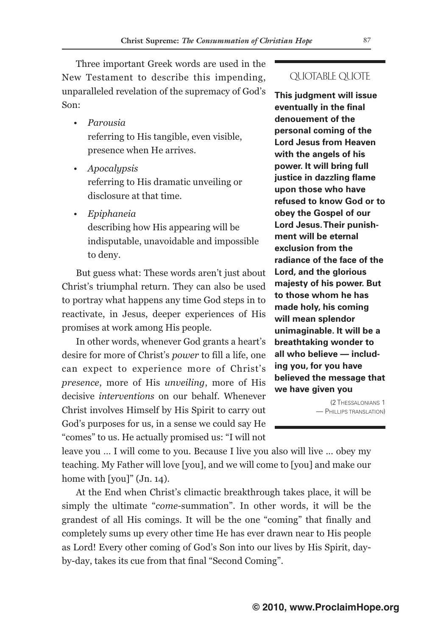Three important Greek words are used in the New Testament to describe this impending, unparalleled revelation of the supremacy of God's Son:

- *Parousia* referring to His tangible, even visible, presence when He arrives.
- *Apocalypsis* referring to His dramatic unveiling or disclosure at that time.
- *Epiphaneia*

describing how His appearing will be indisputable, unavoidable and impossible to deny.

But guess what: These words aren't just about Christ's triumphal return. They can also be used to portray what happens any time God steps in to reactivate, in Jesus, deeper experiences of His promises at work among His people.

In other words, whenever God grants a heart's desire for more of Christ's *power* to fill a life, one can expect to experience more of Christ's *presence*, more of His *unveiling*, more of His decisive *interventions* on our behalf. Whenever Christ involves Himself by His Spirit to carry out God's purposes for us, in a sense we could say He "comes" to us. He actually promised us: "I will not QUOTABLE QUOTE

**This judgment will issue eventually in the final denouement of the personal coming of the Lord Jesus from Heaven with the angels of his power. It will bring full justice in dazzling flame upon those who have refused to know God or to obey the Gospel of our Lord Jesus.Their punishment will be eternal exclusion from the radiance of the face of the Lord, and the glorious majesty of his power. But to those whom he has made holy, his coming will mean splendor unimaginable. It will be a breathtaking wonder to all who believe — including you, for you have believed the message that we have given you**

> (2 THESSALONIANS 1 — PHILLIPS TRANSLATION)

leave you … I will come to you. Because I live you also will live ... obey my teaching. My Father will love [you], and we will come to [you] and make our home with [you]" (Jn. 14).

At the End when Christ's climactic breakthrough takes place, it will be simply the ultimate "*come-*summation". In other words, it will be the grandest of all His comings. It will be the one "coming" that finally and completely sums up every other time He has ever drawn near to His people as Lord! Every other coming of God's Son into our lives by His Spirit, dayby-day, takes its cue from that final "Second Coming".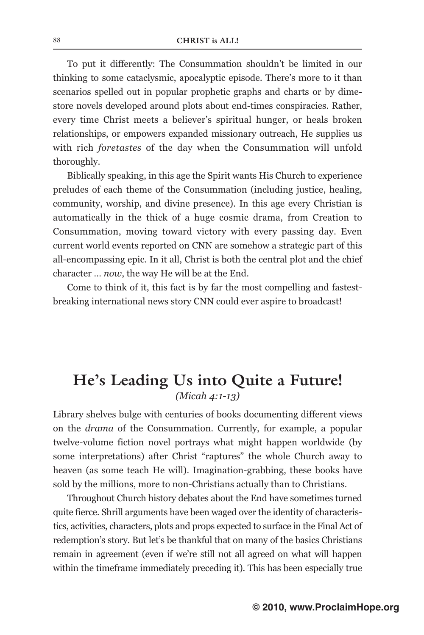To put it differently: The Consummation shouldn't be limited in our thinking to some cataclysmic, apocalyptic episode. There's more to it than scenarios spelled out in popular prophetic graphs and charts or by dimestore novels developed around plots about end-times conspiracies. Rather, every time Christ meets a believer's spiritual hunger, or heals broken relationships, or empowers expanded missionary outreach, He supplies us with rich *foretastes* of the day when the Consummation will unfold thoroughly.

Biblically speaking, in this age the Spirit wants His Church to experience preludes of each theme of the Consummation (including justice, healing, community, worship, and divine presence). In this age every Christian is automatically in the thick of a huge cosmic drama, from Creation to Consummation, moving toward victory with every passing day. Even current world events reported on CNN are somehow a strategic part of this all-encompassing epic. In it all, Christ is both the central plot and the chief character … *now*, the way He will be at the End.

Come to think of it, this fact is by far the most compelling and fastestbreaking international news story CNN could ever aspire to broadcast!

## **He's Leading Us into Quite a Future!** *(Micah 4:1-13)*

Library shelves bulge with centuries of books documenting different views on the *drama* of the Consummation. Currently, for example, a popular twelve-volume fiction novel portrays what might happen worldwide (by some interpretations) after Christ "raptures" the whole Church away to heaven (as some teach He will). Imagination-grabbing, these books have sold by the millions, more to non-Christians actually than to Christians.

Throughout Church history debates about the End have sometimes turned quite fierce. Shrill arguments have been waged over the identity of characteristics, activities, characters, plots and props expected to surface in the Final Act of redemption's story. But let's be thankful that on many of the basics Christians remain in agreement (even if we're still not all agreed on what will happen within the timeframe immediately preceding it). This has been especially true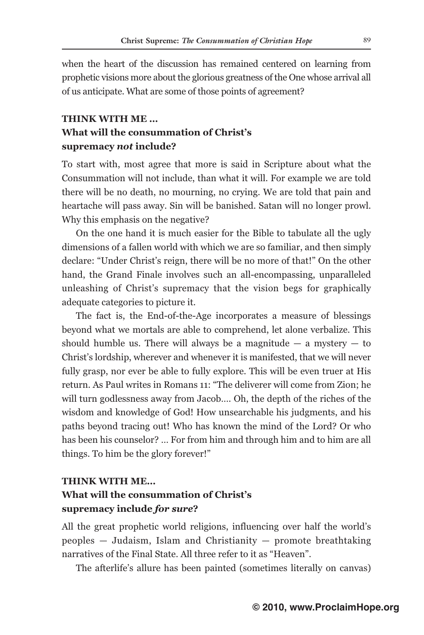when the heart of the discussion has remained centered on learning from prophetic visions more about the glorious greatness of the One whose arrival all of us anticipate. What are some of those points of agreement?

## **THINK WITH ME … What will the consummation of Christ's supremacy** *not* **include?**

To start with, most agree that more is said in Scripture about what the Consummation will not include, than what it will. For example we are told there will be no death, no mourning, no crying. We are told that pain and heartache will pass away. Sin will be banished. Satan will no longer prowl. Why this emphasis on the negative?

On the one hand it is much easier for the Bible to tabulate all the ugly dimensions of a fallen world with which we are so familiar, and then simply declare: "Under Christ's reign, there will be no more of that!" On the other hand, the Grand Finale involves such an all-encompassing, unparalleled unleashing of Christ's supremacy that the vision begs for graphically adequate categories to picture it.

The fact is, the End-of-the-Age incorporates a measure of blessings beyond what we mortals are able to comprehend, let alone verbalize. This should humble us. There will always be a magnitude  $-$  a mystery  $-$  to Christ's lordship, wherever and whenever it is manifested, that we will never fully grasp, nor ever be able to fully explore. This will be even truer at His return. As Paul writes in Romans 11: "The deliverer will come from Zion; he will turn godlessness away from Jacob…. Oh, the depth of the riches of the wisdom and knowledge of God! How unsearchable his judgments, and his paths beyond tracing out! Who has known the mind of the Lord? Or who has been his counselor? … For from him and through him and to him are all things. To him be the glory forever!"

#### **THINK WITH ME…**

## **What will the consummation of Christ's supremacy include** *for sure***?**

All the great prophetic world religions, influencing over half the world's peoples — Judaism, Islam and Christianity — promote breathtaking narratives of the Final State. All three refer to it as "Heaven".

The afterlife's allure has been painted (sometimes literally on canvas)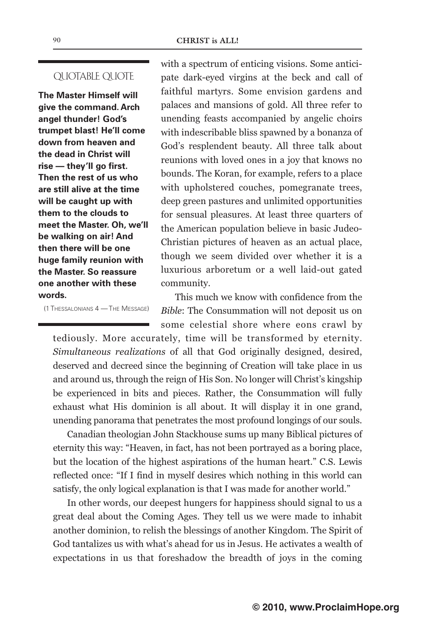#### QUOTABLE QUOTE

**The Master Himself will give the command. Arch angel thunder! God's trumpet blast! He'll come down from heaven and the dead in Christ will rise — they'll go first. Then the rest of us who are still alive at the time will be caught up with them to the clouds to meet the Master. Oh, we'll be walking on air! And then there will be one huge family reunion with the Master. So reassure one another with these words.**

(1 THESSALONIANS 4 —THE MESSAGE)

with a spectrum of enticing visions. Some anticipate dark-eyed virgins at the beck and call of faithful martyrs. Some envision gardens and palaces and mansions of gold. All three refer to unending feasts accompanied by angelic choirs with indescribable bliss spawned by a bonanza of God's resplendent beauty. All three talk about reunions with loved ones in a joy that knows no bounds. The Koran, for example, refers to a place with upholstered couches, pomegranate trees, deep green pastures and unlimited opportunities for sensual pleasures. At least three quarters of the American population believe in basic Judeo-Christian pictures of heaven as an actual place, though we seem divided over whether it is a luxurious arboretum or a well laid-out gated community.

This much we know with confidence from the *Bible*: The Consummation will not deposit us on some celestial shore where eons crawl by

tediously. More accurately, time will be transformed by eternity. *Simultaneous realizations* of all that God originally designed, desired, deserved and decreed since the beginning of Creation will take place in us and around us, through the reign of His Son. No longer will Christ's kingship be experienced in bits and pieces. Rather, the Consummation will fully exhaust what His dominion is all about. It will display it in one grand, unending panorama that penetrates the most profound longings of our souls.

Canadian theologian John Stackhouse sums up many Biblical pictures of eternity this way: "Heaven, in fact, has not been portrayed as a boring place, but the location of the highest aspirations of the human heart." C.S. Lewis reflected once: "If I find in myself desires which nothing in this world can satisfy, the only logical explanation is that I was made for another world."

In other words, our deepest hungers for happiness should signal to us a great deal about the Coming Ages. They tell us we were made to inhabit another dominion, to relish the blessings of another Kingdom. The Spirit of God tantalizes us with what's ahead for us in Jesus. He activates a wealth of expectations in us that foreshadow the breadth of joys in the coming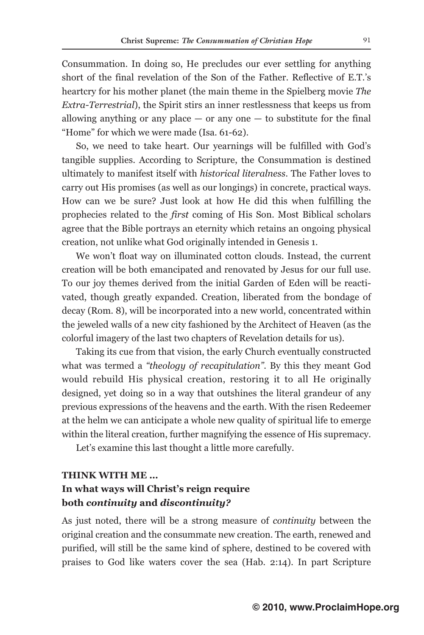Consummation. In doing so, He precludes our ever settling for anything short of the final revelation of the Son of the Father. Reflective of E.T.'s heartcry for his mother planet (the main theme in the Spielberg movie *The Extra-Terrestrial*), the Spirit stirs an inner restlessness that keeps us from allowing anything or any place  $-$  or any one  $-$  to substitute for the final "Home" for which we were made (Isa. 61-62).

So, we need to take heart. Our yearnings will be fulfilled with God's tangible supplies. According to Scripture, the Consummation is destined ultimately to manifest itself with *historical literalness*. The Father loves to carry out His promises (as well as our longings) in concrete, practical ways. How can we be sure? Just look at how He did this when fulfilling the prophecies related to the *first* coming of His Son. Most Biblical scholars agree that the Bible portrays an eternity which retains an ongoing physical creation, not unlike what God originally intended in Genesis 1.

We won't float way on illuminated cotton clouds. Instead, the current creation will be both emancipated and renovated by Jesus for our full use. To our joy themes derived from the initial Garden of Eden will be reactivated, though greatly expanded. Creation, liberated from the bondage of decay (Rom. 8), will be incorporated into a new world, concentrated within the jeweled walls of a new city fashioned by the Architect of Heaven (as the colorful imagery of the last two chapters of Revelation details for us).

Taking its cue from that vision, the early Church eventually constructed what was termed a *"theology of recapitulation".* By this they meant God would rebuild His physical creation, restoring it to all He originally designed, yet doing so in a way that outshines the literal grandeur of any previous expressions of the heavens and the earth. With the risen Redeemer at the helm we can anticipate a whole new quality of spiritual life to emerge within the literal creation, further magnifying the essence of His supremacy.

Let's examine this last thought a little more carefully.

## **THINK WITH ME … In what ways will Christ's reign require both** *continuity* **and** *discontinuity?*

As just noted, there will be a strong measure of *continuity* between the original creation and the consummate new creation. The earth, renewed and purified, will still be the same kind of sphere, destined to be covered with praises to God like waters cover the sea (Hab. 2:14). In part Scripture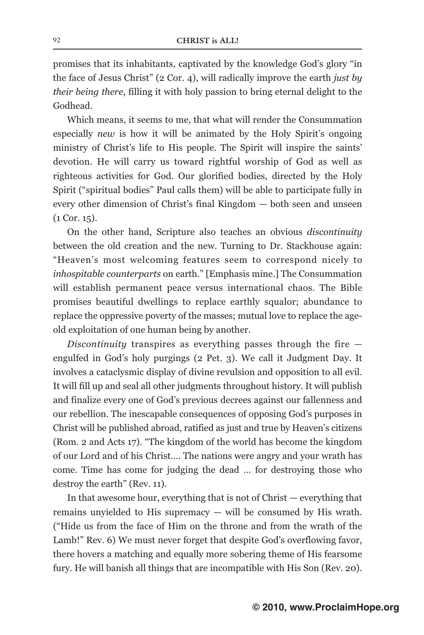promises that its inhabitants, captivated by the knowledge God's glory "in the face of Jesus Christ" (2 Cor. 4), will radically improve the earth *just by their being there*, filling it with holy passion to bring eternal delight to the Godhead.

Which means, it seems to me, that what will render the Consummation especially *new* is how it will be animated by the Holy Spirit's ongoing ministry of Christ's life to His people. The Spirit will inspire the saints' devotion. He will carry us toward rightful worship of God as well as righteous activities for God. Our glorified bodies, directed by the Holy Spirit ("spiritual bodies" Paul calls them) will be able to participate fully in every other dimension of Christ's final Kingdom — both seen and unseen (1 Cor. 15).

On the other hand, Scripture also teaches an obvious *discontinuity* between the old creation and the new. Turning to Dr. Stackhouse again: "Heaven's most welcoming features seem to correspond nicely to *inhospitable counterparts* on earth." [Emphasis mine.] The Consummation will establish permanent peace versus international chaos. The Bible promises beautiful dwellings to replace earthly squalor; abundance to replace the oppressive poverty of the masses; mutual love to replace the ageold exploitation of one human being by another.

*Discontinuity* transpires as everything passes through the fire engulfed in God's holy purgings (2 Pet. 3). We call it Judgment Day. It involves a cataclysmic display of divine revulsion and opposition to all evil. It will fill up and seal all other judgments throughout history. It will publish and finalize every one of God's previous decrees against our fallenness and our rebellion. The inescapable consequences of opposing God's purposes in Christ will be published abroad, ratified as just and true by Heaven's citizens (Rom. 2 and Acts 17). "The kingdom of the world has become the kingdom of our Lord and of his Christ…. The nations were angry and your wrath has come. Time has come for judging the dead … for destroying those who destroy the earth" (Rev. 11).

In that awesome hour, everything that is not of Christ — everything that remains unyielded to His supremacy — will be consumed by His wrath. ("Hide us from the face of Him on the throne and from the wrath of the Lamb!" Rev. 6) We must never forget that despite God's overflowing favor, there hovers a matching and equally more sobering theme of His fearsome fury. He will banish all things that are incompatible with His Son (Rev. 20).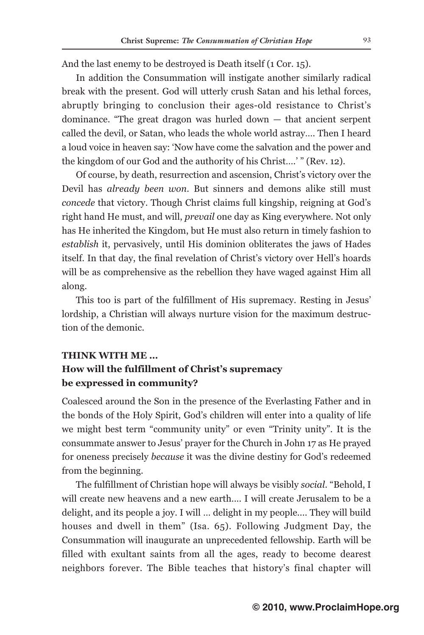And the last enemy to be destroyed is Death itself (1 Cor. 15).

In addition the Consummation will instigate another similarly radical break with the present. God will utterly crush Satan and his lethal forces, abruptly bringing to conclusion their ages-old resistance to Christ's dominance. "The great dragon was hurled down — that ancient serpent called the devil, or Satan, who leads the whole world astray…. Then I heard a loud voice in heaven say: 'Now have come the salvation and the power and the kingdom of our God and the authority of his Christ….' " (Rev. 12).

Of course, by death, resurrection and ascension, Christ's victory over the Devil has *already been won*. But sinners and demons alike still must *concede* that victory. Though Christ claims full kingship, reigning at God's right hand He must, and will, *prevail* one day as King everywhere. Not only has He inherited the Kingdom, but He must also return in timely fashion to *establish* it, pervasively, until His dominion obliterates the jaws of Hades itself. In that day, the final revelation of Christ's victory over Hell's hoards will be as comprehensive as the rebellion they have waged against Him all along.

This too is part of the fulfillment of His supremacy. Resting in Jesus' lordship, a Christian will always nurture vision for the maximum destruction of the demonic.

## **THINK WITH ME … How will the fulfillment of Christ's supremacy be expressed in community?**

Coalesced around the Son in the presence of the Everlasting Father and in the bonds of the Holy Spirit, God's children will enter into a quality of life we might best term "community unity" or even "Trinity unity". It is the consummate answer to Jesus' prayer for the Church in John 17 as He prayed for oneness precisely *because* it was the divine destiny for God's redeemed from the beginning.

The fulfillment of Christian hope will always be visibly *social*. "Behold, I will create new heavens and a new earth.... I will create Jerusalem to be a delight, and its people a joy. I will … delight in my people.... They will build houses and dwell in them" (Isa. 65). Following Judgment Day, the Consummation will inaugurate an unprecedented fellowship. Earth will be filled with exultant saints from all the ages, ready to become dearest neighbors forever. The Bible teaches that history's final chapter will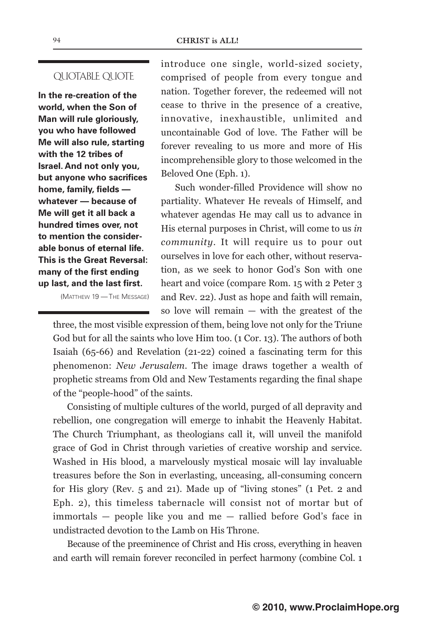#### QUOTABLE QUOTE

**In the re-creation of the world, when the Son of Man will rule gloriously, you who have followed Me will also rule, starting with the 12 tribes of Israel. And not only you, but anyone who sacrifices home, family, fields whatever — because of Me will get it all back a hundred times over, not to mention the considerable bonus of eternal life. This is the Great Reversal: many of the first ending up last, and the last first.**

(MATTHEW 19 —THE MESSAGE)

introduce one single, world-sized society, comprised of people from every tongue and nation. Together forever, the redeemed will not cease to thrive in the presence of a creative, innovative, inexhaustible, unlimited and uncontainable God of love. The Father will be forever revealing to us more and more of His incomprehensible glory to those welcomed in the Beloved One (Eph. 1).

Such wonder-filled Providence will show no partiality. Whatever He reveals of Himself, and whatever agendas He may call us to advance in His eternal purposes in Christ, will come to us *in community.* It will require us to pour out ourselves in love for each other, without reservation, as we seek to honor God's Son with one heart and voice (compare Rom. 15 with 2 Peter 3 and Rev. 22). Just as hope and faith will remain, so love will remain — with the greatest of the

three, the most visible expression of them, being love not only for the Triune God but for all the saints who love Him too. (1 Cor. 13). The authors of both Isaiah (65-66) and Revelation (21-22) coined a fascinating term for this phenomenon: *New Jerusalem.* The image draws together a wealth of prophetic streams from Old and New Testaments regarding the final shape of the "people-hood" of the saints.

Consisting of multiple cultures of the world, purged of all depravity and rebellion, one congregation will emerge to inhabit the Heavenly Habitat. The Church Triumphant, as theologians call it, will unveil the manifold grace of God in Christ through varieties of creative worship and service. Washed in His blood, a marvelously mystical mosaic will lay invaluable treasures before the Son in everlasting, unceasing, all-consuming concern for His glory (Rev. 5 and 21). Made up of "living stones" (1 Pet. 2 and Eph. 2), this timeless tabernacle will consist not of mortar but of immortals — people like you and me — rallied before God's face in undistracted devotion to the Lamb on His Throne.

Because of the preeminence of Christ and His cross, everything in heaven and earth will remain forever reconciled in perfect harmony (combine Col. 1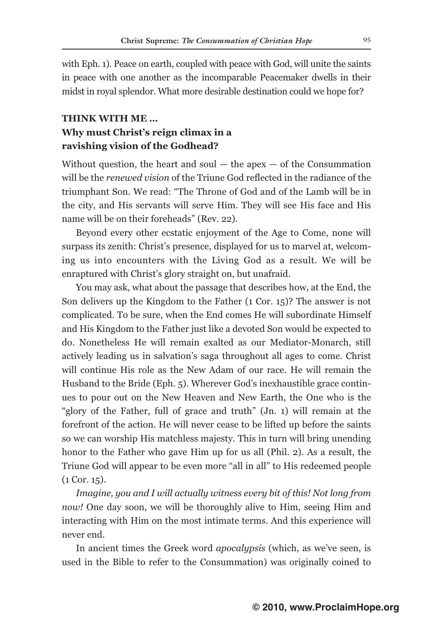with Eph. 1). Peace on earth, coupled with peace with God, will unite the saints in peace with one another as the incomparable Peacemaker dwells in their midst in royal splendor. What more desirable destination could we hope for?

## **THINK WITH ME … Why must Christ's reign climax in a ravishing vision of the Godhead?**

Without question, the heart and soul  $-$  the apex  $-$  of the Consummation will be the *renewed vision* of the Triune God reflected in the radiance of the triumphant Son. We read: "The Throne of God and of the Lamb will be in the city, and His servants will serve Him. They will see His face and His name will be on their foreheads" (Rev. 22).

Beyond every other ecstatic enjoyment of the Age to Come, none will surpass its zenith: Christ's presence, displayed for us to marvel at, welcoming us into encounters with the Living God as a result. We will be enraptured with Christ's glory straight on, but unafraid.

You may ask, what about the passage that describes how, at the End, the Son delivers up the Kingdom to the Father (1 Cor. 15)? The answer is not complicated. To be sure, when the End comes He will subordinate Himself and His Kingdom to the Father just like a devoted Son would be expected to do. Nonetheless He will remain exalted as our Mediator-Monarch, still actively leading us in salvation's saga throughout all ages to come. Christ will continue His role as the New Adam of our race. He will remain the Husband to the Bride (Eph. 5). Wherever God's inexhaustible grace continues to pour out on the New Heaven and New Earth, the One who is the "glory of the Father, full of grace and truth" (Jn. 1) will remain at the forefront of the action. He will never cease to be lifted up before the saints so we can worship His matchless majesty. This in turn will bring unending honor to the Father who gave Him up for us all (Phil. 2). As a result, the Triune God will appear to be even more "all in all" to His redeemed people  $(1$  Cor.  $15)$ .

*Imagine, you and I will actually witness every bit of this! Not long from now!* One day soon, we will be thoroughly alive to Him, seeing Him and interacting with Him on the most intimate terms. And this experience will never end.

In ancient times the Greek word *apocalypsis* (which, as we've seen, is used in the Bible to refer to the Consummation) was originally coined to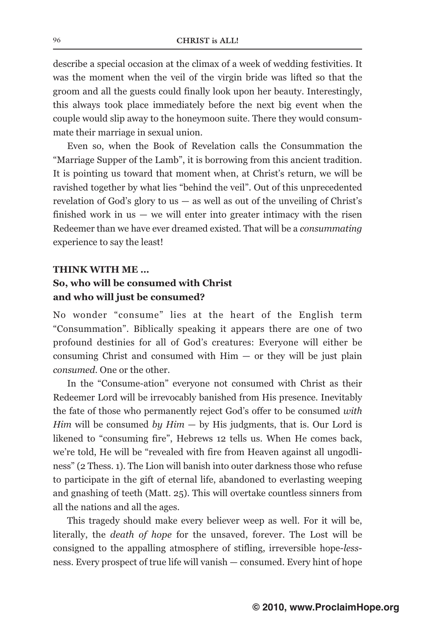describe a special occasion at the climax of a week of wedding festivities. It was the moment when the veil of the virgin bride was lifted so that the groom and all the guests could finally look upon her beauty. Interestingly, this always took place immediately before the next big event when the couple would slip away to the honeymoon suite. There they would consummate their marriage in sexual union.

Even so, when the Book of Revelation calls the Consummation the "Marriage Supper of the Lamb", it is borrowing from this ancient tradition. It is pointing us toward that moment when, at Christ's return, we will be ravished together by what lies "behind the veil". Out of this unprecedented revelation of God's glory to us  $-$  as well as out of the unveiling of Christ's finished work in  $us - we$  will enter into greater intimacy with the risen Redeemer than we have ever dreamed existed. That will be a *consummating* experience to say the least!

#### **THINK WITH ME …**

## **So, who will be consumed with Christ and who will just be consumed?**

No wonder "consume" lies at the heart of the English term "Consummation". Biblically speaking it appears there are one of two profound destinies for all of God's creatures: Everyone will either be consuming Christ and consumed with  $\text{Him} - \text{or they will be just plain}$ *consumed.* One or the other.

In the "Consume-ation" everyone not consumed with Christ as their Redeemer Lord will be irrevocably banished from His presence. Inevitably the fate of those who permanently reject God's offer to be consumed *with Him* will be consumed *by Him* — by His judgments, that is. Our Lord is likened to "consuming fire", Hebrews 12 tells us. When He comes back, we're told, He will be "revealed with fire from Heaven against all ungodliness" (2 Thess. 1). The Lion will banish into outer darkness those who refuse to participate in the gift of eternal life, abandoned to everlasting weeping and gnashing of teeth (Matt. 25). This will overtake countless sinners from all the nations and all the ages.

This tragedy should make every believer weep as well. For it will be, literally, the *death of hope* for the unsaved, forever. The Lost will be consigned to the appalling atmosphere of stifling, irreversible hope-*less*ness. Every prospect of true life will vanish — consumed. Every hint of hope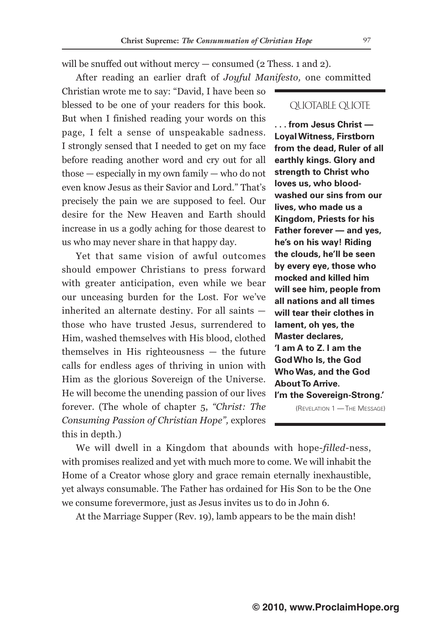will be snuffed out without mercy — consumed (2 Thess. 1 and 2).

After reading an earlier draft of *Joyful Manifesto,* one committed

Christian wrote me to say: "David, I have been so blessed to be one of your readers for this book. But when I finished reading your words on this page, I felt a sense of unspeakable sadness. I strongly sensed that I needed to get on my face before reading another word and cry out for all those — especially in my own family — who do not even know Jesus as their Savior and Lord." That's precisely the pain we are supposed to feel. Our desire for the New Heaven and Earth should increase in us a godly aching for those dearest to us who may never share in that happy day.

Yet that same vision of awful outcomes should empower Christians to press forward with greater anticipation, even while we bear our unceasing burden for the Lost. For we've inherited an alternate destiny. For all saints those who have trusted Jesus, surrendered to Him, washed themselves with His blood, clothed themselves in His righteousness — the future calls for endless ages of thriving in union with Him as the glorious Sovereign of the Universe. He will become the unending passion of our lives forever. (The whole of chapter 5, *"Christ: The Consuming Passion of Christian Hope",* explores this in depth.)

## QUOTABLE QUOTE

**. . . from Jesus Christ — LoyalWitness, Firstborn from the dead, Ruler of all earthly kings. Glory and strength to Christ who loves us, who bloodwashed our sins from our lives, who made us a Kingdom, Priests for his Father forever — and yes, he's on his way! Riding the clouds, he'll be seen by every eye, those who mocked and killed him will see him, people from all nations and all times will tear their clothes in lament, oh yes, the Master declares, 'I am A to Z. I am the GodWho Is, the God WhoWas, and the God AboutTo Arrive. I'm the Sovereign-Strong.'**

(REVELATION 1 —THE MESSAGE)

We will dwell in a Kingdom that abounds with hope-*filled*-ness, with promises realized and yet with much more to come. We will inhabit the Home of a Creator whose glory and grace remain eternally inexhaustible, yet always consumable. The Father has ordained for His Son to be the One we consume forevermore, just as Jesus invites us to do in John 6.

At the Marriage Supper (Rev. 19), lamb appears to be the main dish!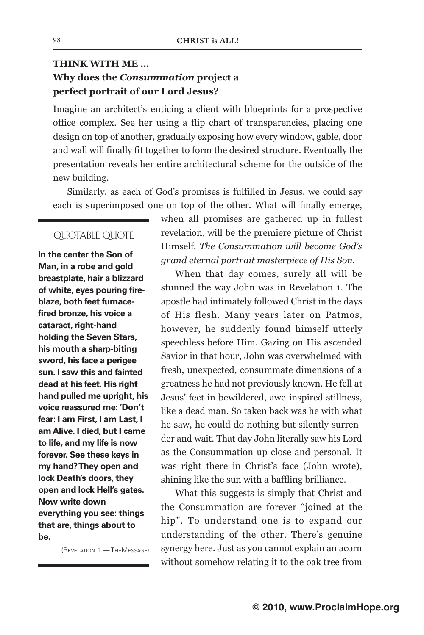## **THINK WITH ME … Why does the** *Consummation* **project a perfect portrait of our Lord Jesus?**

Imagine an architect's enticing a client with blueprints for a prospective office complex. See her using a flip chart of transparencies, placing one design on top of another, gradually exposing how every window, gable, door and wall will finally fit together to form the desired structure. Eventually the presentation reveals her entire architectural scheme for the outside of the new building.

Similarly, as each of God's promises is fulfilled in Jesus, we could say each is superimposed one on top of the other. What will finally emerge,

## QUOTABLE QUOTE

**In the center the Son of Man, in a robe and gold breastplate, hair a blizzard of white, eyes pouring fireblaze, both feet furnacefired bronze, his voice a cataract, right-hand holding the Seven Stars, his mouth a sharp-biting sword, his face a perigee sun. I saw this and fainted dead at his feet. His right hand pulled me upright, his voice reassured me: 'Don't fear: I am First, I am Last, I amAlive. I died, but I came to life, and my life is now forever. See these keys in my hand?They open and lock Death's doors, they open and lock Hell's gates. Now write down everything you see: things that are, things about to be.**

(REVELATION 1 —THEMESSAGE)

when all promises are gathered up in fullest revelation, will be the premiere picture of Christ Himself. *The Consummation will become God's grand eternal portrait masterpiece of His Son.*

When that day comes, surely all will be stunned the way John was in Revelation 1. The apostle had intimately followed Christ in the days of His flesh. Many years later on Patmos, however, he suddenly found himself utterly speechless before Him. Gazing on His ascended Savior in that hour, John was overwhelmed with fresh, unexpected, consummate dimensions of a greatness he had not previously known. He fell at Jesus' feet in bewildered, awe-inspired stillness, like a dead man. So taken back was he with what he saw, he could do nothing but silently surrender and wait. That day John literally saw his Lord as the Consummation up close and personal. It was right there in Christ's face (John wrote), shining like the sun with a baffling brilliance.

What this suggests is simply that Christ and the Consummation are forever "joined at the hip". To understand one is to expand our understanding of the other. There's genuine synergy here. Just as you cannot explain an acorn without somehow relating it to the oak tree from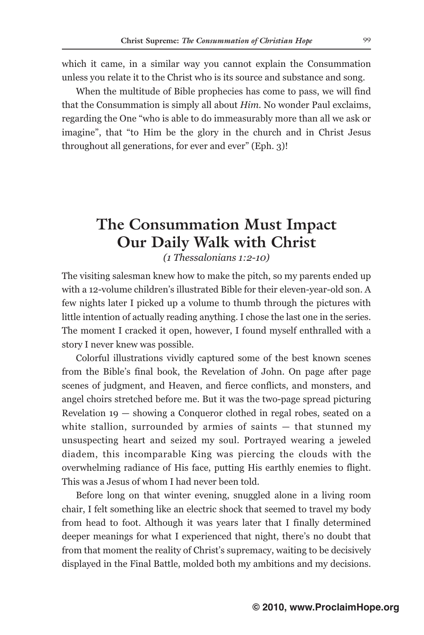which it came, in a similar way you cannot explain the Consummation unless you relate it to the Christ who is its source and substance and song.

When the multitude of Bible prophecies has come to pass, we will find that the Consummation is simply all about *Him.* No wonder Paul exclaims, regarding the One "who is able to do immeasurably more than all we ask or imagine", that "to Him be the glory in the church and in Christ Jesus throughout all generations, for ever and ever" (Eph. 3)!

# **The Consummation Must Impact Our Daily Walk with Christ**

*(1 Thessalonians 1:2-10)*

The visiting salesman knew how to make the pitch, so my parents ended up with a 12-volume children's illustrated Bible for their eleven-year-old son. A few nights later I picked up a volume to thumb through the pictures with little intention of actually reading anything. I chose the last one in the series. The moment I cracked it open, however, I found myself enthralled with a story I never knew was possible.

Colorful illustrations vividly captured some of the best known scenes from the Bible's final book, the Revelation of John. On page after page scenes of judgment, and Heaven, and fierce conflicts, and monsters, and angel choirs stretched before me. But it was the two-page spread picturing Revelation 19 — showing a Conqueror clothed in regal robes, seated on a white stallion, surrounded by armies of saints  $-$  that stunned my unsuspecting heart and seized my soul. Portrayed wearing a jeweled diadem, this incomparable King was piercing the clouds with the overwhelming radiance of His face, putting His earthly enemies to flight. This was a Jesus of whom I had never been told.

Before long on that winter evening, snuggled alone in a living room chair, I felt something like an electric shock that seemed to travel my body from head to foot. Although it was years later that I finally determined deeper meanings for what I experienced that night, there's no doubt that from that moment the reality of Christ's supremacy, waiting to be decisively displayed in the Final Battle, molded both my ambitions and my decisions.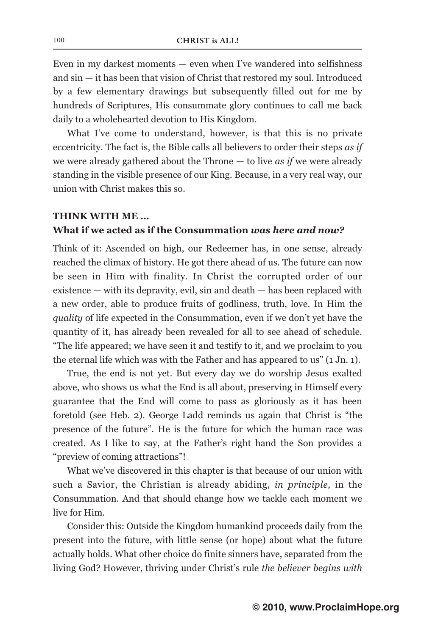Even in my darkest moments  $-$  even when I've wandered into selfishness and sin — it has been that vision of Christ that restored my soul. Introduced by a few elementary drawings but subsequently filled out for me by hundreds of Scriptures, His consummate glory continues to call me back daily to a wholehearted devotion to His Kingdom.

What I've come to understand, however, is that this is no private eccentricity. The fact is, the Bible calls all believers to order their steps *as if* we were already gathered about the Throne — to live *as if* we were already standing in the visible presence of our King. Because, in a very real way, our union with Christ makes this so.

#### **THINK WITH ME …**

#### **What if we acted as if the Consummation** *was here and now?*

Think of it: Ascended on high, our Redeemer has, in one sense, already reached the climax of history. He got there ahead of us. The future can now be seen in Him with finality. In Christ the corrupted order of our existence — with its depravity, evil, sin and death — has been replaced with a new order, able to produce fruits of godliness, truth, love. In Him the *quality* of life expected in the Consummation, even if we don't yet have the quantity of it, has already been revealed for all to see ahead of schedule. "The life appeared; we have seen it and testify to it, and we proclaim to you the eternal life which was with the Father and has appeared to us" (1 Jn. 1).

True, the end is not yet. But every day we do worship Jesus exalted above, who shows us what the End is all about, preserving in Himself every guarantee that the End will come to pass as gloriously as it has been foretold (see Heb. 2). George Ladd reminds us again that Christ is "the presence of the future". He is the future for which the human race was created. As I like to say, at the Father's right hand the Son provides a "preview of coming attractions"!

What we've discovered in this chapter is that because of our union with such a Savior, the Christian is already abiding, *in principle,* in the Consummation. And that should change how we tackle each moment we live for Him.

Consider this: Outside the Kingdom humankind proceeds daily from the present into the future, with little sense (or hope) about what the future actually holds. What other choice do finite sinners have, separated from the living God? However, thriving under Christ's rule *the believer begins with*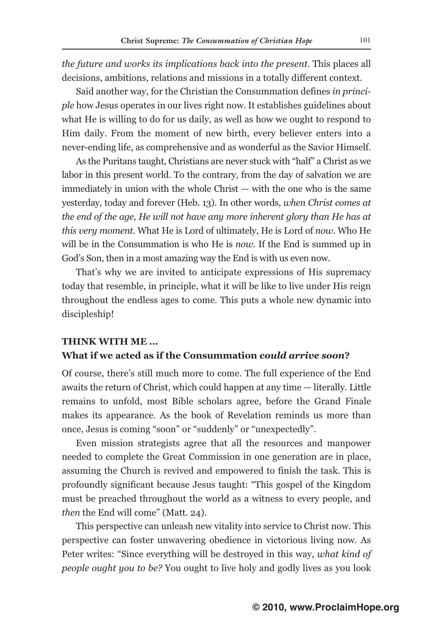*the future and works its implications back into the present.* This places all decisions, ambitions, relations and missions in a totally different context.

Said another way, for the Christian the Consummation defines *in principle* how Jesus operates in our lives right now. It establishes guidelines about what He is willing to do for us daily, as well as how we ought to respond to Him daily. From the moment of new birth, every believer enters into a never-ending life, as comprehensive and as wonderful as the Savior Himself.

As the Puritans taught, Christians are never stuck with "half" a Christ as we labor in this present world. To the contrary, from the day of salvation we are immediately in union with the whole Christ — with the one who is the same yesterday, today and forever (Heb. 13). In other words, *when Christ comes at the end of the age, He will not have any more inherent glory than He has at this very moment.* What He is Lord of ultimately, He is Lord of *now.* Who He will be in the Consummation is who He is *now.* If the End is summed up in God's Son, then in a most amazing way the End is with us even now.

That's why we are invited to anticipate expressions of His supremacy today that resemble, in principle, what it will be like to live under His reign throughout the endless ages to come. This puts a whole new dynamic into discipleship!

#### **THINK WITH ME …**

#### **What if we acted as if the Consummation** *could arrive soon***?**

Of course, there's still much more to come. The full experience of the End awaits the return of Christ, which could happen at any time — literally. Little remains to unfold, most Bible scholars agree, before the Grand Finale makes its appearance. As the book of Revelation reminds us more than once, Jesus is coming "soon" or "suddenly" or "unexpectedly".

Even mission strategists agree that all the resources and manpower needed to complete the Great Commission in one generation are in place, assuming the Church is revived and empowered to finish the task. This is profoundly significant because Jesus taught: "This gospel of the Kingdom must be preached throughout the world as a witness to every people, and *then* the End will come" (Matt. 24).

This perspective can unleash new vitality into service to Christ now. This perspective can foster unwavering obedience in victorious living now. As Peter writes: "Since everything will be destroyed in this way, *what kind of people ought you to be?* You ought to live holy and godly lives as you look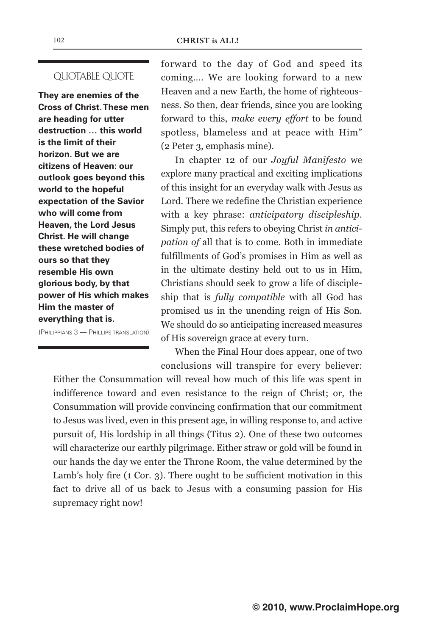#### QUOTABLE QUOTE

**They are enemies of the Cross of Christ.These men are heading for utter destruction … this world is the limit of their horizon. But we are citizens of Heaven: our outlook goes beyond this world to the hopeful expectation of the Savior who will come from Heaven, the Lord Jesus Christ. He will change these wretched bodies of ours so that they resemble His own glorious body, by that power of His which makes Him the master of everything that is.**

(PHILIPPIANS 3 — PHILLIPS TRANSLATION)

forward to the day of God and speed its coming…. We are looking forward to a new Heaven and a new Earth, the home of righteousness. So then, dear friends, since you are looking forward to this, *make every effort* to be found spotless, blameless and at peace with Him" (2 Peter 3, emphasis mine).

In chapter 12 of our *Joyful Manifesto* we explore many practical and exciting implications of this insight for an everyday walk with Jesus as Lord. There we redefine the Christian experience with a key phrase: *anticipatory discipleship*. Simply put, this refers to obeying Christ *in anticipation of* all that is to come. Both in immediate fulfillments of God's promises in Him as well as in the ultimate destiny held out to us in Him, Christians should seek to grow a life of discipleship that is *fully compatible* with all God has promised us in the unending reign of His Son. We should do so anticipating increased measures of His sovereign grace at every turn.

When the Final Hour does appear, one of two conclusions will transpire for every believer:

Either the Consummation will reveal how much of this life was spent in indifference toward and even resistance to the reign of Christ; or, the Consummation will provide convincing confirmation that our commitment to Jesus was lived, even in this present age, in willing response to, and active pursuit of, His lordship in all things (Titus 2). One of these two outcomes will characterize our earthly pilgrimage. Either straw or gold will be found in our hands the day we enter the Throne Room, the value determined by the Lamb's holy fire (1 Cor. 3). There ought to be sufficient motivation in this fact to drive all of us back to Jesus with a consuming passion for His supremacy right now!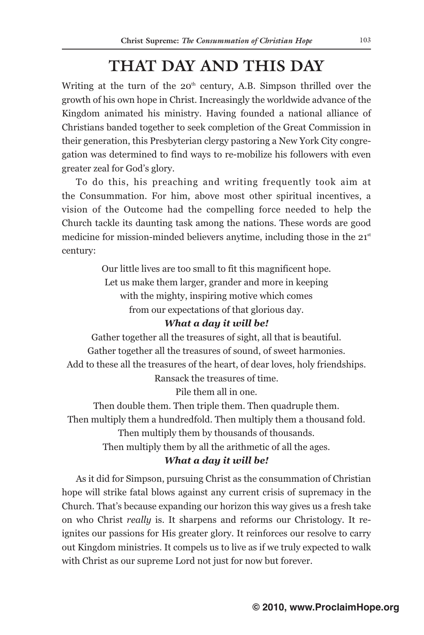# **THAT DAY AND THIS DAY**

Writing at the turn of the  $20<sup>th</sup>$  century, A.B. Simpson thrilled over the growth of his own hope in Christ. Increasingly the worldwide advance of the Kingdom animated his ministry. Having founded a national alliance of Christians banded together to seek completion of the Great Commission in their generation, this Presbyterian clergy pastoring a New York City congregation was determined to find ways to re-mobilize his followers with even greater zeal for God's glory.

To do this, his preaching and writing frequently took aim at the Consummation. For him, above most other spiritual incentives, a vision of the Outcome had the compelling force needed to help the Church tackle its daunting task among the nations. These words are good medicine for mission-minded believers anytime, including those in the 21<sup>st</sup> century:

Our little lives are too small to fit this magnificent hope.

Let us make them larger, grander and more in keeping

with the mighty, inspiring motive which comes

from our expectations of that glorious day.

#### *What a day it will be!*

Gather together all the treasures of sight, all that is beautiful. Gather together all the treasures of sound, of sweet harmonies. Add to these all the treasures of the heart, of dear loves, holy friendships. Ransack the treasures of time.

Pile them all in one.

Then double them. Then triple them. Then quadruple them. Then multiply them a hundredfold. Then multiply them a thousand fold. Then multiply them by thousands of thousands.

Then multiply them by all the arithmetic of all the ages.

#### *What a day it will be!*

As it did for Simpson, pursuing Christ as the consummation of Christian hope will strike fatal blows against any current crisis of supremacy in the Church. That's because expanding our horizon this way gives us a fresh take on who Christ *really* is. It sharpens and reforms our Christology. It reignites our passions for His greater glory. It reinforces our resolve to carry out Kingdom ministries. It compels us to live as if we truly expected to walk with Christ as our supreme Lord not just for now but forever.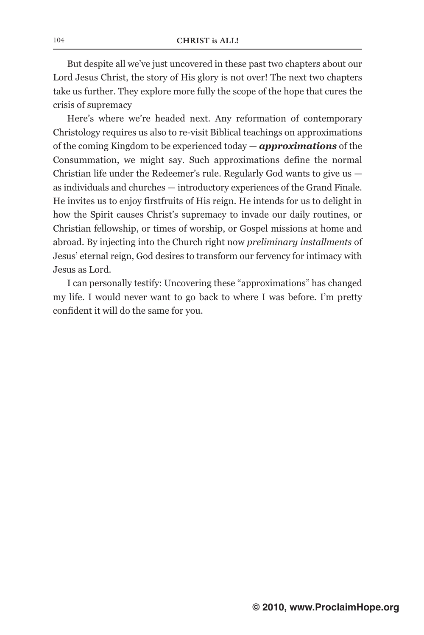But despite all we've just uncovered in these past two chapters about our Lord Jesus Christ, the story of His glory is not over! The next two chapters take us further. They explore more fully the scope of the hope that cures the crisis of supremacy

Here's where we're headed next. Any reformation of contemporary Christology requires us also to re-visit Biblical teachings on approximations of the coming Kingdom to be experienced today — *approximations* of the Consummation, we might say. Such approximations define the normal Christian life under the Redeemer's rule. Regularly God wants to give us  $$ as individuals and churches — introductory experiences of the Grand Finale. He invites us to enjoy firstfruits of His reign. He intends for us to delight in how the Spirit causes Christ's supremacy to invade our daily routines, or Christian fellowship, or times of worship, or Gospel missions at home and abroad. By injecting into the Church right now *preliminary installments* of Jesus' eternal reign, God desires to transform our fervency for intimacy with Jesus as Lord.

I can personally testify: Uncovering these "approximations" has changed my life. I would never want to go back to where I was before. I'm pretty confident it will do the same for you.